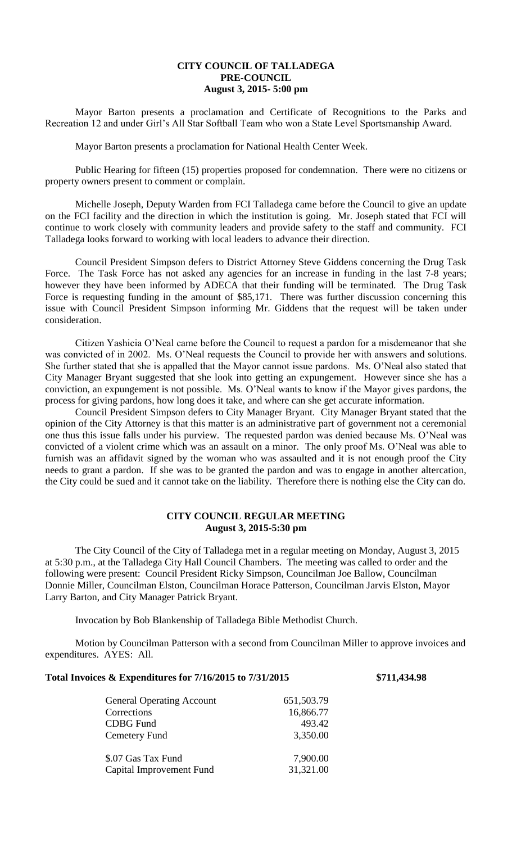## **CITY COUNCIL OF TALLADEGA PRE-COUNCIL August 3, 2015- 5:00 pm**

Mayor Barton presents a proclamation and Certificate of Recognitions to the Parks and Recreation 12 and under Girl's All Star Softball Team who won a State Level Sportsmanship Award.

Mayor Barton presents a proclamation for National Health Center Week.

Public Hearing for fifteen (15) properties proposed for condemnation. There were no citizens or property owners present to comment or complain.

Michelle Joseph, Deputy Warden from FCI Talladega came before the Council to give an update on the FCI facility and the direction in which the institution is going. Mr. Joseph stated that FCI will continue to work closely with community leaders and provide safety to the staff and community. FCI Talladega looks forward to working with local leaders to advance their direction.

Council President Simpson defers to District Attorney Steve Giddens concerning the Drug Task Force. The Task Force has not asked any agencies for an increase in funding in the last 7-8 years; however they have been informed by ADECA that their funding will be terminated. The Drug Task Force is requesting funding in the amount of \$85,171. There was further discussion concerning this issue with Council President Simpson informing Mr. Giddens that the request will be taken under consideration.

Citizen Yashicia O'Neal came before the Council to request a pardon for a misdemeanor that she was convicted of in 2002. Ms. O'Neal requests the Council to provide her with answers and solutions. She further stated that she is appalled that the Mayor cannot issue pardons. Ms. O'Neal also stated that City Manager Bryant suggested that she look into getting an expungement. However since she has a conviction, an expungement is not possible. Ms. O'Neal wants to know if the Mayor gives pardons, the process for giving pardons, how long does it take, and where can she get accurate information.

Council President Simpson defers to City Manager Bryant. City Manager Bryant stated that the opinion of the City Attorney is that this matter is an administrative part of government not a ceremonial one thus this issue falls under his purview. The requested pardon was denied because Ms. O'Neal was convicted of a violent crime which was an assault on a minor. The only proof Ms. O'Neal was able to furnish was an affidavit signed by the woman who was assaulted and it is not enough proof the City needs to grant a pardon. If she was to be granted the pardon and was to engage in another altercation, the City could be sued and it cannot take on the liability. Therefore there is nothing else the City can do.

## **CITY COUNCIL REGULAR MEETING August 3, 2015-5:30 pm**

The City Council of the City of Talladega met in a regular meeting on Monday, August 3, 2015 at 5:30 p.m., at the Talladega City Hall Council Chambers. The meeting was called to order and the following were present: Council President Ricky Simpson, Councilman Joe Ballow, Councilman Donnie Miller, Councilman Elston, Councilman Horace Patterson, Councilman Jarvis Elston, Mayor Larry Barton, and City Manager Patrick Bryant.

Invocation by Bob Blankenship of Talladega Bible Methodist Church.

Motion by Councilman Patterson with a second from Councilman Miller to approve invoices and expenditures. AYES: All.

## **Total Invoices & Expenditures for 7/16/2015 to 7/31/2015 \$711,434.98**

| <b>General Operating Account</b> | 651,503.79 |
|----------------------------------|------------|
|                                  |            |
| Corrections                      | 16,866.77  |
| <b>CDBG</b> Fund                 | 493.42     |
| Cemetery Fund                    | 3,350.00   |
| \$.07 Gas Tax Fund               | 7,900.00   |
| Capital Improvement Fund         | 31,321.00  |
|                                  |            |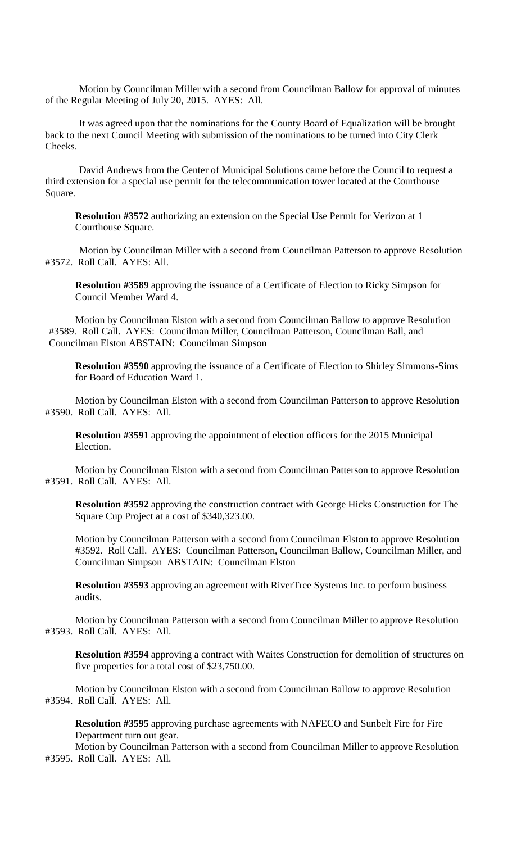Motion by Councilman Miller with a second from Councilman Ballow for approval of minutes of the Regular Meeting of July 20, 2015. AYES: All.

It was agreed upon that the nominations for the County Board of Equalization will be brought back to the next Council Meeting with submission of the nominations to be turned into City Clerk Cheeks.

David Andrews from the Center of Municipal Solutions came before the Council to request a third extension for a special use permit for the telecommunication tower located at the Courthouse Square.

**Resolution #3572** authorizing an extension on the Special Use Permit for Verizon at 1 Courthouse Square.

Motion by Councilman Miller with a second from Councilman Patterson to approve Resolution #3572. Roll Call. AYES: All.

**Resolution #3589** approving the issuance of a Certificate of Election to Ricky Simpson for Council Member Ward 4.

Motion by Councilman Elston with a second from Councilman Ballow to approve Resolution #3589. Roll Call. AYES: Councilman Miller, Councilman Patterson, Councilman Ball, and Councilman Elston ABSTAIN: Councilman Simpson

**Resolution #3590** approving the issuance of a Certificate of Election to Shirley Simmons-Sims for Board of Education Ward 1.

Motion by Councilman Elston with a second from Councilman Patterson to approve Resolution #3590. Roll Call. AYES: All.

**Resolution #3591** approving the appointment of election officers for the 2015 Municipal Election.

Motion by Councilman Elston with a second from Councilman Patterson to approve Resolution #3591. Roll Call. AYES: All.

**Resolution #3592** approving the construction contract with George Hicks Construction for The Square Cup Project at a cost of \$340,323.00.

Motion by Councilman Patterson with a second from Councilman Elston to approve Resolution #3592. Roll Call. AYES: Councilman Patterson, Councilman Ballow, Councilman Miller, and Councilman Simpson ABSTAIN: Councilman Elston

**Resolution #3593** approving an agreement with RiverTree Systems Inc. to perform business audits.

Motion by Councilman Patterson with a second from Councilman Miller to approve Resolution #3593. Roll Call. AYES: All.

**Resolution #3594** approving a contract with Waites Construction for demolition of structures on five properties for a total cost of \$23,750.00.

Motion by Councilman Elston with a second from Councilman Ballow to approve Resolution #3594. Roll Call. AYES: All.

**Resolution #3595** approving purchase agreements with NAFECO and Sunbelt Fire for Fire Department turn out gear.

Motion by Councilman Patterson with a second from Councilman Miller to approve Resolution #3595. Roll Call. AYES: All.